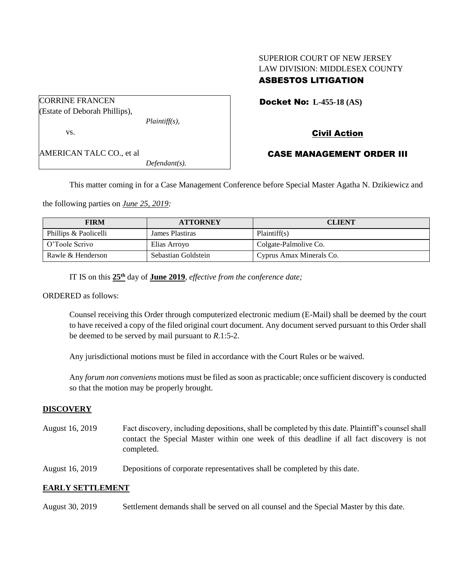# SUPERIOR COURT OF NEW JERSEY LAW DIVISION: MIDDLESEX COUNTY ASBESTOS LITIGATION

| <b>CORRINE FRANCEN</b>        |                  |
|-------------------------------|------------------|
| (Estate of Deborah Phillips), |                  |
|                               | $Plaintiff(s)$ , |
| VS.                           |                  |
| AMERICAN TALC CO., et al      |                  |
|                               | $Defendant(s)$ . |

Docket No: **L-455-18 (AS)** 

# Civil Action

## CASE MANAGEMENT ORDER III

This matter coming in for a Case Management Conference before Special Master Agatha N. Dzikiewicz and

the following parties on *June 25, 2019:*

| <b>FIRM</b>           | <b>ATTORNEY</b>     | <b>CLIENT</b>            |
|-----------------------|---------------------|--------------------------|
| Phillips & Paolicelli | James Plastiras     | Plaintiff(s)             |
| O'Toole Scrivo        | Elias Arroyo        | Colgate-Palmolive Co.    |
| Rawle & Henderson     | Sebastian Goldstein | Cyprus Amax Minerals Co. |

IT IS on this **25th** day of **June 2019**, *effective from the conference date;*

ORDERED as follows:

Counsel receiving this Order through computerized electronic medium (E-Mail) shall be deemed by the court to have received a copy of the filed original court document. Any document served pursuant to this Order shall be deemed to be served by mail pursuant to *R*.1:5-2.

Any jurisdictional motions must be filed in accordance with the Court Rules or be waived.

Any *forum non conveniens* motions must be filed as soon as practicable; once sufficient discovery is conducted so that the motion may be properly brought.

## **DISCOVERY**

- August 16, 2019 Fact discovery, including depositions, shall be completed by this date. Plaintiff's counsel shall contact the Special Master within one week of this deadline if all fact discovery is not completed.
- August 16, 2019 Depositions of corporate representatives shall be completed by this date.

## **EARLY SETTLEMENT**

August 30, 2019 Settlement demands shall be served on all counsel and the Special Master by this date.